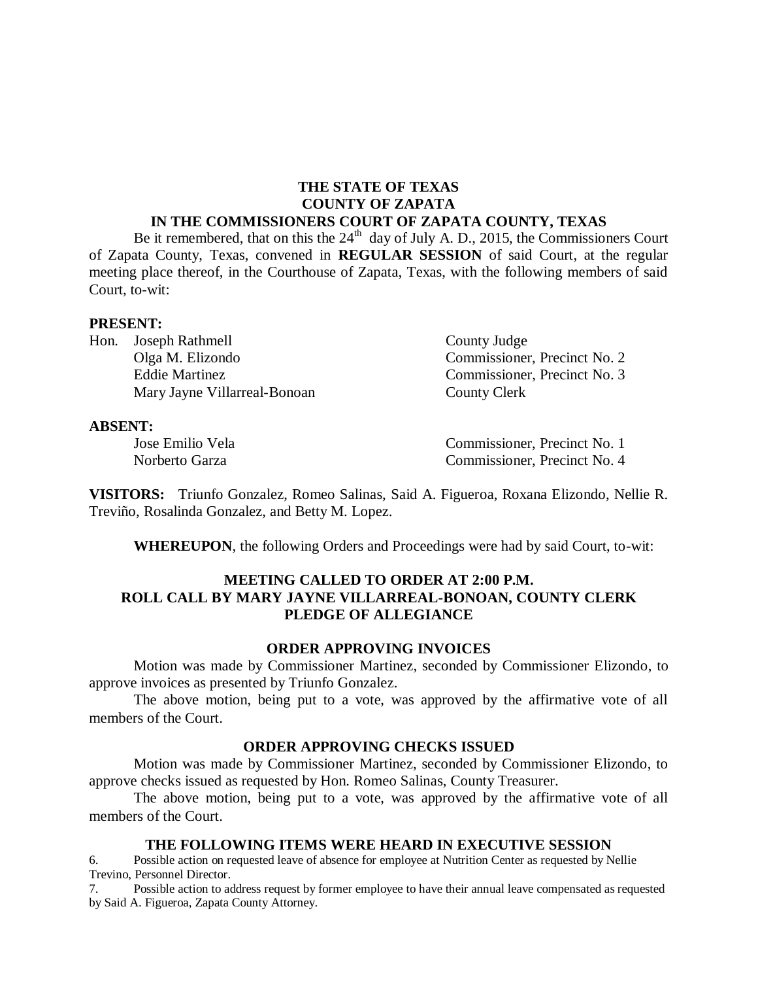### **THE STATE OF TEXAS COUNTY OF ZAPATA IN THE COMMISSIONERS COURT OF ZAPATA COUNTY, TEXAS**

Be it remembered, that on this the  $24<sup>th</sup>$  day of July A. D., 2015, the Commissioners Court of Zapata County, Texas, convened in **REGULAR SESSION** of said Court, at the regular meeting place thereof, in the Courthouse of Zapata, Texas, with the following members of said Court, to-wit:

#### **PRESENT:**

Hon. Joseph Rathmell County Judge Olga M. Elizondo Commissioner, Precinct No. 2 Eddie Martinez Commissioner, Precinct No. 3 Mary Jayne Villarreal-Bonoan County Clerk

#### **ABSENT:**

Jose Emilio Vela Commissioner, Precinct No. 1 Norberto Garza Commissioner, Precinct No. 4

**VISITORS:** Triunfo Gonzalez, Romeo Salinas, Said A. Figueroa, Roxana Elizondo, Nellie R. Treviño, Rosalinda Gonzalez, and Betty M. Lopez.

**WHEREUPON**, the following Orders and Proceedings were had by said Court, to-wit:

## **MEETING CALLED TO ORDER AT 2:00 P.M. ROLL CALL BY MARY JAYNE VILLARREAL-BONOAN, COUNTY CLERK PLEDGE OF ALLEGIANCE**

## **ORDER APPROVING INVOICES**

Motion was made by Commissioner Martinez, seconded by Commissioner Elizondo, to approve invoices as presented by Triunfo Gonzalez.

The above motion, being put to a vote, was approved by the affirmative vote of all members of the Court.

#### **ORDER APPROVING CHECKS ISSUED**

Motion was made by Commissioner Martinez, seconded by Commissioner Elizondo, to approve checks issued as requested by Hon. Romeo Salinas, County Treasurer.

The above motion, being put to a vote, was approved by the affirmative vote of all members of the Court.

### **THE FOLLOWING ITEMS WERE HEARD IN EXECUTIVE SESSION**

6. Possible action on requested leave of absence for employee at Nutrition Center as requested by Nellie Trevino, Personnel Director.

7. Possible action to address request by former employee to have their annual leave compensated as requested by Said A. Figueroa, Zapata County Attorney.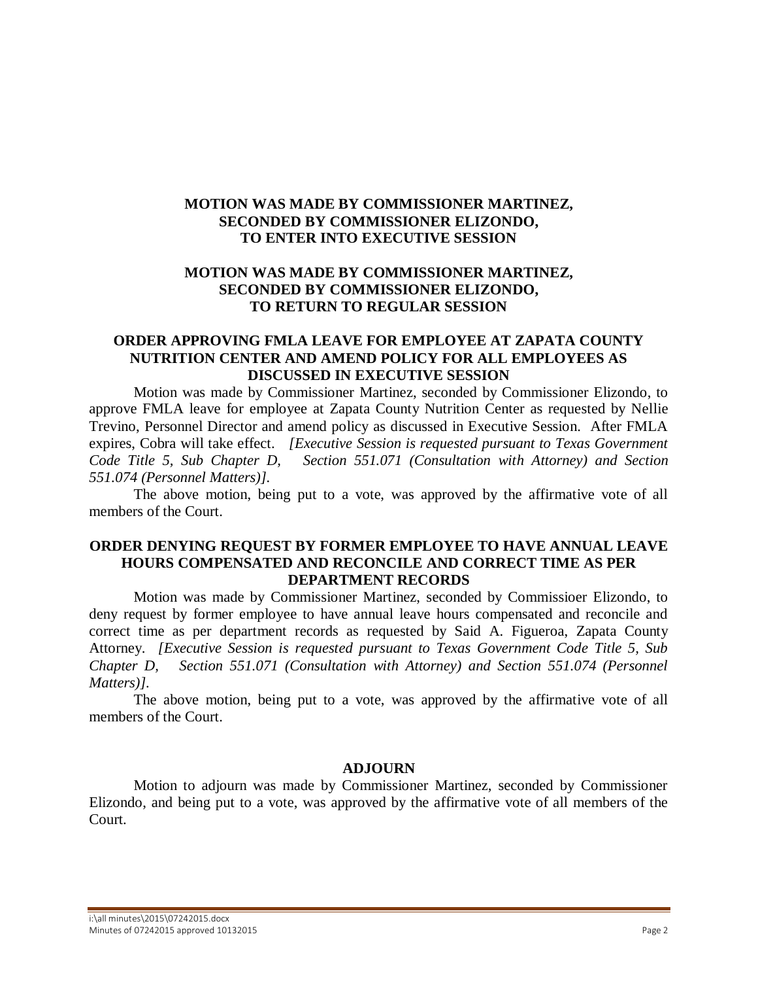# **MOTION WAS MADE BY COMMISSIONER MARTINEZ, SECONDED BY COMMISSIONER ELIZONDO, TO ENTER INTO EXECUTIVE SESSION**

# **MOTION WAS MADE BY COMMISSIONER MARTINEZ, SECONDED BY COMMISSIONER ELIZONDO, TO RETURN TO REGULAR SESSION**

## **ORDER APPROVING FMLA LEAVE FOR EMPLOYEE AT ZAPATA COUNTY NUTRITION CENTER AND AMEND POLICY FOR ALL EMPLOYEES AS DISCUSSED IN EXECUTIVE SESSION**

Motion was made by Commissioner Martinez, seconded by Commissioner Elizondo, to approve FMLA leave for employee at Zapata County Nutrition Center as requested by Nellie Trevino, Personnel Director and amend policy as discussed in Executive Session. After FMLA expires, Cobra will take effect. *[Executive Session is requested pursuant to Texas Government Code Title 5, Sub Chapter D, Section 551.071 (Consultation with Attorney) and Section 551.074 (Personnel Matters)].* 

The above motion, being put to a vote, was approved by the affirmative vote of all members of the Court.

## **ORDER DENYING REQUEST BY FORMER EMPLOYEE TO HAVE ANNUAL LEAVE HOURS COMPENSATED AND RECONCILE AND CORRECT TIME AS PER DEPARTMENT RECORDS**

Motion was made by Commissioner Martinez, seconded by Commissioer Elizondo, to deny request by former employee to have annual leave hours compensated and reconcile and correct time as per department records as requested by Said A. Figueroa, Zapata County Attorney. *[Executive Session is requested pursuant to Texas Government Code Title 5, Sub Chapter D, Section 551.071 (Consultation with Attorney) and Section 551.074 (Personnel Matters)].* 

The above motion, being put to a vote, was approved by the affirmative vote of all members of the Court.

#### **ADJOURN**

Motion to adjourn was made by Commissioner Martinez, seconded by Commissioner Elizondo, and being put to a vote, was approved by the affirmative vote of all members of the Court.